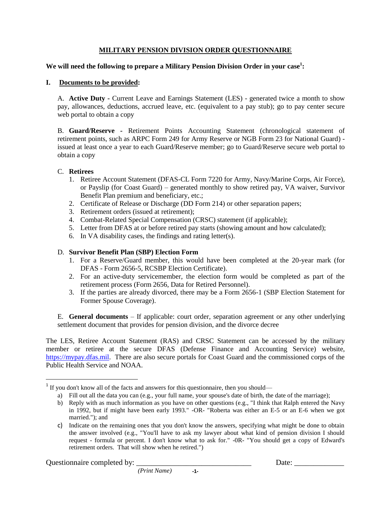# **MILITARY PENSION DIVISION ORDER QUESTIONNAIRE**

# **We will need the following to prepare a Military Pension Division Order in your case<sup>1</sup> :**

# **I. Documents to be provided:**

A. **Active Duty -** Current Leave and Earnings Statement (LES) - generated twice a month to show pay, allowances, deductions, accrued leave, etc. (equivalent to a pay stub); go to pay center secure web portal to obtain a copy

B. **Guard/Reserve -** Retirement Points Accounting Statement (chronological statement of retirement points, such as ARPC Form 249 for Army Reserve or NGB Form 23 for National Guard) issued at least once a year to each Guard/Reserve member; go to Guard/Reserve secure web portal to obtain a copy

### C. **Retirees**

- 1. Retiree Account Statement (DFAS-CL Form 7220 for Army, Navy/Marine Corps, Air Force), or Payslip (for Coast Guard) – generated monthly to show retired pay, VA waiver, Survivor Benefit Plan premium and beneficiary, etc.;
- 2. Certificate of Release or Discharge (DD Form 214) or other separation papers;
- 3. Retirement orders (issued at retirement);
- 4. Combat-Related Special Compensation (CRSC) statement (if applicable);
- 5. Letter from DFAS at or before retired pay starts (showing amount and how calculated);
- 6. In VA disability cases, the findings and rating letter(s).

# D. **Survivor Benefit Plan (SBP) Election Form**

- 1. For a Reserve/Guard member, this would have been completed at the 20-year mark (for DFAS - Form 2656-5, RCSBP Election Certificate).
- 2. For an active-duty servicemember, the election form would be completed as part of the retirement process (Form 2656, Data for Retired Personnel).
- 3. If the parties are already divorced, there may be a Form 2656-1 (SBP Election Statement for Former Spouse Coverage).

E. **General documents** – If applicable: court order, separation agreement or any other underlying settlement document that provides for pension division, and the divorce decree

The LES, Retiree Account Statement (RAS) and CRSC Statement can be accessed by the military member or retiree at the secure DFAS (Defense Finance and Accounting Service) website, [https://mypay.dfas.mil.](https://mypay.dfas.mil/) There are also secure portals for Coast Guard and the commissioned corps of the Public Health Service and NOAA.

 $\overline{a}$ 

 $1$  If you don't know all of the facts and answers for this questionnaire, then you should—

a) Fill out all the data you can (e.g., your full name, your spouse's date of birth, the date of the marriage);

b) Reply with as much information as you have on other questions (e.g., "I think that Ralph entered the Navy in 1992, but if might have been early 1993." -OR- "Roberta was either an E-5 or an E-6 when we got married."); and

c) Indicate on the remaining ones that you don't know the answers, specifying what might be done to obtain the answer involved (e.g., "You'll have to ask my lawyer about what kind of pension division I should request - formula or percent. I don't know what to ask for." -0R- "You should get a copy of Edward's retirement orders. That will show when he retired.")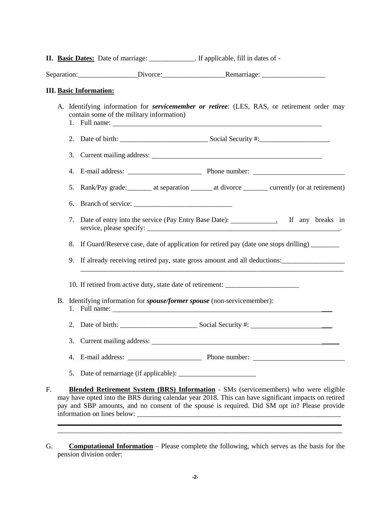**II. Basic Dates:** Date of marriage: \_\_\_\_\_\_\_\_\_\_\_\_\_. If applicable, fill in dates of -

Separation: Divorce: Divorce: Remarriage:

### **III. Basic Information:**

- A. Identifying information for *servicemember or retiree*: (LES, RAS, or retirement order may contain some of the military information) 1. Full name: 2. Date of birth: \_\_\_\_\_\_\_\_\_\_\_\_\_\_\_\_\_\_\_\_\_\_\_\_\_ Social Security #:\_\_\_\_\_\_\_\_\_\_\_\_\_\_\_\_\_\_\_\_ 3. Current mailing address: 4. E-mail address: \_\_\_\_\_\_\_\_\_\_\_\_\_\_\_\_\_\_\_\_\_ Phone number: 5. Rank/Pay grade: at separation at divorce currently (or at retirement) 6. Branch of service: 7. Date of entry into the service (Pay Entry Base Date): \_\_\_\_\_\_\_\_\_\_\_\_\_\_\_. If any breaks in service, please specify: 8. If Guard/Reserve case, date of application for retired pay (date one stops drilling) 9. If already receiving retired pay, state gross amount and all deductions: \_\_\_\_\_\_\_\_\_\_\_\_\_\_\_\_\_\_\_\_\_\_\_\_\_\_\_\_\_\_\_\_\_\_\_\_\_\_\_\_\_\_\_\_\_\_\_\_\_\_\_\_\_\_\_\_\_\_\_\_\_\_\_\_\_\_\_\_\_\_\_\_\_\_\_ 10. If retired from active duty, state date of retirement: B. Identifying information for *spouse/former spouse* (non-servicemember): 1. Full name: \_\_\_ 2. Date of birth: Social Security #: 3. Current mailing address: \_\_\_\_\_ 4. E-mail address: Phone number: 5. Date of remarriage (if applicable): \_\_\_\_\_\_\_\_\_\_\_\_\_\_\_\_\_\_\_\_\_\_ F. **Blended Retirement System (BRS) Information** - SMs (servicemembers) who were eligible may have opted into the BRS during calendar year 2018. This can have significant impacts on retired
- G. **Computational Information** Please complete the following, which serves as the basis for the pension division order:

pay and SBP amounts, and no consent of the spouse is required. Did SM opt in? Please provide

**\_\_\_\_\_\_\_\_\_\_\_\_\_\_\_\_\_\_\_\_\_\_\_\_\_\_\_\_\_\_\_\_\_\_\_\_\_\_\_\_\_\_\_\_\_\_\_\_\_\_\_\_\_\_\_\_\_\_\_\_\_\_\_\_\_\_\_\_\_\_\_\_\_\_\_\_\_\_\_\_\_** \_\_\_\_\_\_\_\_\_\_\_\_\_\_\_\_\_\_\_\_\_\_\_\_\_\_\_\_\_\_\_\_\_\_\_\_\_\_\_\_\_\_\_\_\_\_\_\_\_\_\_\_\_\_\_\_\_\_\_\_\_\_\_\_\_\_\_\_\_\_\_\_\_\_\_\_\_\_\_\_\_

information on lines below: \_\_\_\_\_\_\_\_\_\_\_\_\_\_\_\_\_\_\_\_\_\_\_\_\_\_\_\_\_\_\_\_\_\_\_\_\_\_\_\_\_\_\_\_\_\_\_\_\_\_\_\_\_\_\_\_\_\_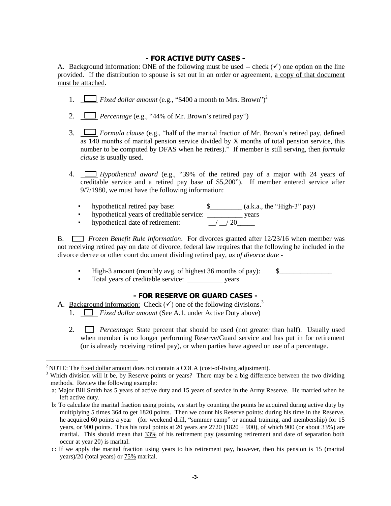# **- FOR ACTIVE DUTY CASES -**

A. Background information: ONE of the following must be used -- check  $(\checkmark)$  one option on the line provided. If the distribution to spouse is set out in an order or agreement, a copy of that document must be attached.

- 1.  $\Box$  Fixed dollar amount (e.g., "\$400 a month to Mrs. Brown")<sup>2</sup>
- 2. *Percentage* (e.g., "44% of Mr. Brown's retired pay")
- 3. *Formula clause* (e.g., "half of the marital fraction of Mr. Brown's retired pay, defined as 140 months of marital pension service divided by X months of total pension service, this number to be computed by DFAS when he retires)." If member is still serving, then *formula clause* is usually used.
- 4. *Hypothetical award* (e.g., "39% of the retired pay of a major with 24 years of creditable service and a retired pay base of \$5,200"). If member entered service after 9/7/1980, we must have the following information:
	- hypothetical retired pay base:  $\qquad \qquad$  \$\_\_\_\_\_\_\_\_\_ (a.k.a., the "High-3" pay)
	- hypothetical years of creditable service: \_\_\_\_\_\_\_\_\_\_ years
	- hypothetical date of retirement:  $\frac{1}{20}$  / 20

B. *Frozen Benefit Rule information*. For divorces granted after 12/23/16 when member was not receiving retired pay on date of divorce, federal law requires that the following be included in the divorce decree or other court document dividing retired pay, *as of divorce date* -

- High-3 amount (monthly avg. of highest 36 months of pay): \$\_\_\_\_\_\_\_\_\_\_\_\_\_\_\_
- Total years of creditable service: \_\_\_\_\_\_\_\_\_\_ years

# **- FOR RESERVE OR GUARD CASES -**

# A. <u>Background information:</u> Check  $(\checkmark)$  one of the following divisions.<sup>3</sup>

1. *Fixed dollar amount* (See A.1. under Active Duty above)

2. *Percentage*: State percent that should be used (not greater than half). Usually used when member is no longer performing Reserve/Guard service and has put in for retirement (or is already receiving retired pay), or when parties have agreed on use of a percentage.

 $\overline{a}$ 

<sup>&</sup>lt;sup>2</sup> NOTE: The fixed dollar amount does not contain a COLA (cost-of-living adjustment).

<sup>&</sup>lt;sup>3</sup> Which division will it be, by Reserve points or years? There may be a big difference between the two dividing methods. Review the following example:

a: Major Bill Smith has 5 years of active duty and 15 years of service in the Army Reserve. He married when he left active duty.

b: To calculate the marital fraction using points, we start by counting the points he acquired during active duty by multiplying 5 times 364 to get 1820 points. Then we count his Reserve points: during his time in the Reserve, he acquired 60 points a year (for weekend drill, "summer camp" or annual training, and membership) for 15 years, or 900 points. Thus his total points at 20 years are  $2720 (1820 + 900)$ , of which 900 (or about 33%) are marital. This should mean that  $33\%$  of his retirement pay (assuming retirement and date of separation both occur at year 20) is marital.

c: If we apply the marital fraction using years to his retirement pay, however, then his pension is 15 (marital years)/20 (total years) or 75% marital.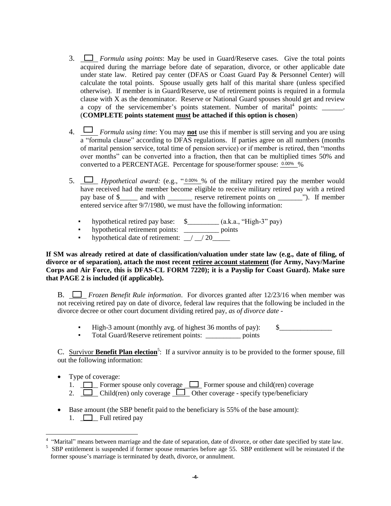- 3. *Formula using points*: May be used in Guard/Reserve cases. Give the total points acquired during the marriage before date of separation, divorce, or other applicable date under state law. Retired pay center (DFAS or Coast Guard Pay & Personnel Center) will calculate the total points. Spouse usually gets half of this marital share (unless specified otherwise). If member is in Guard/Reserve, use of retirement points is required in a formula clause with X as the denominator. Reserve or National Guard spouses should get and review a copy of the servicemember's points statement. Number of marital<sup>4</sup> points:  $\frac{1}{\sqrt{1-\frac{1}{n}}}\$ (**COMPLETE points statement must be attached if this option is chosen**)
- 4. *Formula using time*: You may **not** use this if member is still serving and you are using  $\overline{a}$  "formula clause" according to DFAS regulations. If parties agree on all numbers (months of marital pension service, total time of pension service) or if member is retired, then "months over months" can be converted into a fraction, then that can be multiplied times 50% and converted to a PERCENTAGE. Percentage for spouse/former spouse:  $0.00\%$ %
- 5.  $\Box$  *Hypothetical award:* (e.g., " $\Box$  % of the military retired pay the member would have received had the member become eligible to receive military retired pay with a retired pay base of \$\_\_\_\_\_ and with \_\_\_\_\_\_\_ reserve retirement points on \_\_\_\_\_\_\_"). If member entered service after 9/7/1980, we must have the following information:
	- hypothetical retired pay base:  $\quad \text{\ssim}$  (a.k.a., "High-3" pay)
	- hypothetical retirement points: \_\_\_\_\_\_\_\_\_\_\_ points
	- hypothetical date of retirement:  $\frac{1}{20}$

**If SM was already retired at date of classification/valuation under state law (e.g., date of filing, of divorce or of separation), attach the most recent retiree account statement (for Army, Navy/Marine Corps and Air Force, this is DFAS-CL FORM 7220); it is a Payslip for Coast Guard). Make sure that PAGE 2 is included (if applicable).**

B. *Frozen Benefit Rule information*. For divorces granted after 12/23/16 when member was not receiving retired pay on date of divorce, federal law requires that the following be included in the divorce decree or other court document dividing retired pay, *as of divorce date* -

- High-3 amount (monthly avg. of highest 36 months of pay):  $\qquad$  \$
- Total Guard/Reserve retirement points: \_\_\_\_\_\_\_\_\_\_ points

C. Survivor **Benefit Plan election**<sup>5</sup>: If a survivor annuity is to be provided to the former spouse, fill out the following information:

• Type of coverage:

 $\overline{a}$ 

- 1.  $\Box$  Former spouse only coverage  $\Box$  Former spouse and child(ren) coverage
- 2. Child(ren) only coverage  $\Box$  Other coverage specify type/beneficiary
- Base amount (the SBP benefit paid to the beneficiary is 55% of the base amount): 1.  $\Box$  Full retired pay

<sup>4</sup> "Marital" means between marriage and the date of separation, date of divorce, or other date specified by state law.

<sup>5</sup> SBP entitlement is suspended if former spouse remarries before age 55. SBP entitlement will be reinstated if the former spouse's marriage is terminated by death, divorce, or annulment.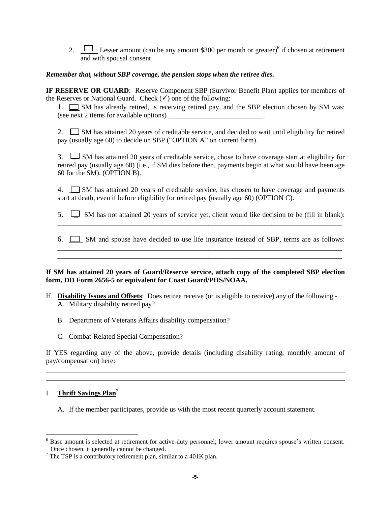2.  $\Box$  Lesser amount (can be any amount \$300 per month or greater)<sup>6</sup> if chosen at retirement and with spousal consent

### *Remember that, without SBP coverage, the pension stops when the retiree dies.*

**IF RESERVE OR GUARD**: Reserve Component SBP (Survivor Benefit Plan) applies for members of the Reserves or National Guard. Check  $(\checkmark)$  one of the following:

1.  $\Box$  SM has already retired, is receiving retired pay, and the SBP election chosen by SM was: (see next 2 items for available options) \_\_\_\_\_\_\_\_\_\_\_\_\_\_\_\_\_\_\_\_\_\_\_\_\_\_\_.

2.  $\Box$  SM has attained 20 years of creditable service, and decided to wait until eligibility for retired pay (usually age 60) to decide on SBP ("OPTION A" on current form).

3.  $\Box$  SM has attained 20 years of creditable service, chose to have coverage start at eligibility for retired pay (usually age 60) (i.e., if SM dies before then, payments begin at what would have been age 60 for the SM). (OPTION B).

4.  $\Box$  SM has attained 20 years of creditable service, has chosen to have coverage and payments start at death, even if before eligibility for retired pay (usually age 60) (OPTION C).

5.  $\Box$  SM has not attained 20 years of service yet, client would like decision to be (fill in blank): \_\_\_\_\_\_\_\_\_\_\_\_\_\_\_\_\_\_\_\_\_\_\_\_\_\_\_\_\_\_\_\_\_\_\_\_\_\_\_\_\_\_\_\_\_\_\_\_\_\_\_\_\_\_\_\_\_\_\_\_\_\_\_\_\_\_\_\_\_\_\_\_\_\_\_\_\_\_\_\_\_

6.  $\Box$  SM and spouse have decided to use life insurance instead of SBP, terms are as follows: \_\_\_\_\_\_\_\_\_\_\_\_\_\_\_\_\_\_\_\_\_\_\_\_\_\_\_\_\_\_\_\_\_\_\_\_\_\_\_\_\_\_\_\_\_\_\_\_\_\_\_\_\_\_\_\_\_\_\_\_\_\_\_\_\_\_\_\_\_\_\_\_\_\_\_\_\_\_\_\_\_

\_\_\_\_\_\_\_\_\_\_\_\_\_\_\_\_\_\_\_\_\_\_\_\_\_\_\_\_\_\_\_\_\_\_\_\_\_\_\_\_\_\_\_\_\_\_\_\_\_\_\_\_\_\_\_\_\_\_\_\_\_\_\_\_\_\_\_\_\_\_\_\_\_\_\_\_\_\_\_\_\_

#### **If SM has attained 20 years of Guard/Reserve service, attach copy of the completed SBP election form, DD Form 2656-5 or equivalent for Coast Guard/PHS/NOAA.**

- H. **Disability Issues and Offsets**: Does retiree receive (or is eligible to receive) any of the following
	- A. Military disability retired pay?
	- B. Department of Veterans Affairs disability compensation?
	- C. Combat-Related Special Compensation?

If YES regarding any of the above, provide details (including disability rating, monthly amount of pay/compensation) here:

# I. **Thrift Savings Plan**<sup>7</sup>

A. If the member participates, provide us with the most recent quarterly account statement.

 $\overline{a}$ <sup>6</sup> Base amount is selected at retirement for active-duty personnel; lower amount requires spouse's written consent. Once chosen, it generally cannot be changed.

 $<sup>7</sup>$  The TSP is a contributory retirement plan, similar to a 401K plan.</sup>